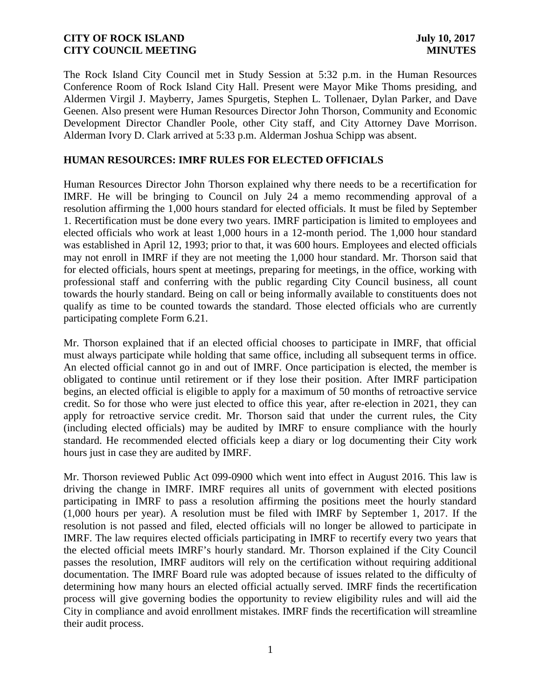The Rock Island City Council met in Study Session at 5:32 p.m. in the Human Resources Conference Room of Rock Island City Hall. Present were Mayor Mike Thoms presiding, and Aldermen Virgil J. Mayberry, James Spurgetis, Stephen L. Tollenaer, Dylan Parker, and Dave Geenen. Also present were Human Resources Director John Thorson, Community and Economic Development Director Chandler Poole, other City staff, and City Attorney Dave Morrison. Alderman Ivory D. Clark arrived at 5:33 p.m. Alderman Joshua Schipp was absent.

# **HUMAN RESOURCES: IMRF RULES FOR ELECTED OFFICIALS**

Human Resources Director John Thorson explained why there needs to be a recertification for IMRF. He will be bringing to Council on July 24 a memo recommending approval of a resolution affirming the 1,000 hours standard for elected officials. It must be filed by September 1. Recertification must be done every two years. IMRF participation is limited to employees and elected officials who work at least 1,000 hours in a 12-month period. The 1,000 hour standard was established in April 12, 1993; prior to that, it was 600 hours. Employees and elected officials may not enroll in IMRF if they are not meeting the 1,000 hour standard. Mr. Thorson said that for elected officials, hours spent at meetings, preparing for meetings, in the office, working with professional staff and conferring with the public regarding City Council business, all count towards the hourly standard. Being on call or being informally available to constituents does not qualify as time to be counted towards the standard. Those elected officials who are currently participating complete Form 6.21.

Mr. Thorson explained that if an elected official chooses to participate in IMRF, that official must always participate while holding that same office, including all subsequent terms in office. An elected official cannot go in and out of IMRF. Once participation is elected, the member is obligated to continue until retirement or if they lose their position. After IMRF participation begins, an elected official is eligible to apply for a maximum of 50 months of retroactive service credit. So for those who were just elected to office this year, after re-election in 2021, they can apply for retroactive service credit. Mr. Thorson said that under the current rules, the City (including elected officials) may be audited by IMRF to ensure compliance with the hourly standard. He recommended elected officials keep a diary or log documenting their City work hours just in case they are audited by IMRF.

Mr. Thorson reviewed Public Act 099-0900 which went into effect in August 2016. This law is driving the change in IMRF. IMRF requires all units of government with elected positions participating in IMRF to pass a resolution affirming the positions meet the hourly standard (1,000 hours per year). A resolution must be filed with IMRF by September 1, 2017. If the resolution is not passed and filed, elected officials will no longer be allowed to participate in IMRF. The law requires elected officials participating in IMRF to recertify every two years that the elected official meets IMRF's hourly standard. Mr. Thorson explained if the City Council passes the resolution, IMRF auditors will rely on the certification without requiring additional documentation. The IMRF Board rule was adopted because of issues related to the difficulty of determining how many hours an elected official actually served. IMRF finds the recertification process will give governing bodies the opportunity to review eligibility rules and will aid the City in compliance and avoid enrollment mistakes. IMRF finds the recertification will streamline their audit process.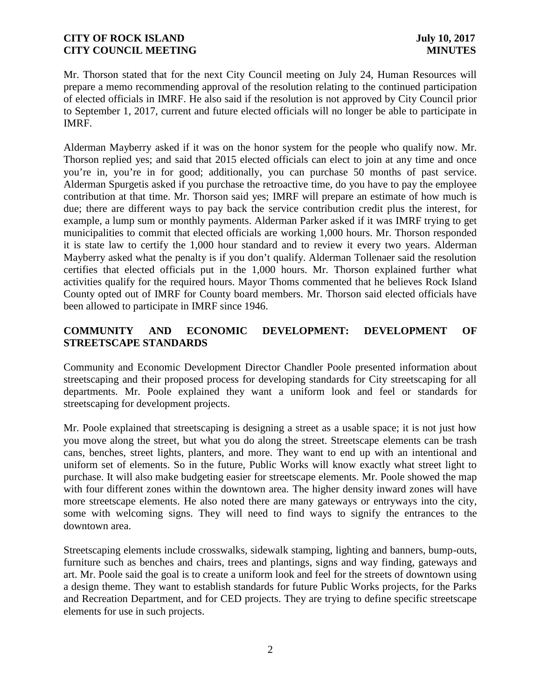Mr. Thorson stated that for the next City Council meeting on July 24, Human Resources will prepare a memo recommending approval of the resolution relating to the continued participation of elected officials in IMRF. He also said if the resolution is not approved by City Council prior to September 1, 2017, current and future elected officials will no longer be able to participate in IMRF.

Alderman Mayberry asked if it was on the honor system for the people who qualify now. Mr. Thorson replied yes; and said that 2015 elected officials can elect to join at any time and once you're in, you're in for good; additionally, you can purchase 50 months of past service. Alderman Spurgetis asked if you purchase the retroactive time, do you have to pay the employee contribution at that time. Mr. Thorson said yes; IMRF will prepare an estimate of how much is due; there are different ways to pay back the service contribution credit plus the interest, for example, a lump sum or monthly payments. Alderman Parker asked if it was IMRF trying to get municipalities to commit that elected officials are working 1,000 hours. Mr. Thorson responded it is state law to certify the 1,000 hour standard and to review it every two years. Alderman Mayberry asked what the penalty is if you don't qualify. Alderman Tollenaer said the resolution certifies that elected officials put in the 1,000 hours. Mr. Thorson explained further what activities qualify for the required hours. Mayor Thoms commented that he believes Rock Island County opted out of IMRF for County board members. Mr. Thorson said elected officials have been allowed to participate in IMRF since 1946.

# **COMMUNITY AND ECONOMIC DEVELOPMENT: DEVELOPMENT OF STREETSCAPE STANDARDS**

Community and Economic Development Director Chandler Poole presented information about streetscaping and their proposed process for developing standards for City streetscaping for all departments. Mr. Poole explained they want a uniform look and feel or standards for streetscaping for development projects.

Mr. Poole explained that streetscaping is designing a street as a usable space; it is not just how you move along the street, but what you do along the street. Streetscape elements can be trash cans, benches, street lights, planters, and more. They want to end up with an intentional and uniform set of elements. So in the future, Public Works will know exactly what street light to purchase. It will also make budgeting easier for streetscape elements. Mr. Poole showed the map with four different zones within the downtown area. The higher density inward zones will have more streetscape elements. He also noted there are many gateways or entryways into the city, some with welcoming signs. They will need to find ways to signify the entrances to the downtown area.

Streetscaping elements include crosswalks, sidewalk stamping, lighting and banners, bump-outs, furniture such as benches and chairs, trees and plantings, signs and way finding, gateways and art. Mr. Poole said the goal is to create a uniform look and feel for the streets of downtown using a design theme. They want to establish standards for future Public Works projects, for the Parks and Recreation Department, and for CED projects. They are trying to define specific streetscape elements for use in such projects.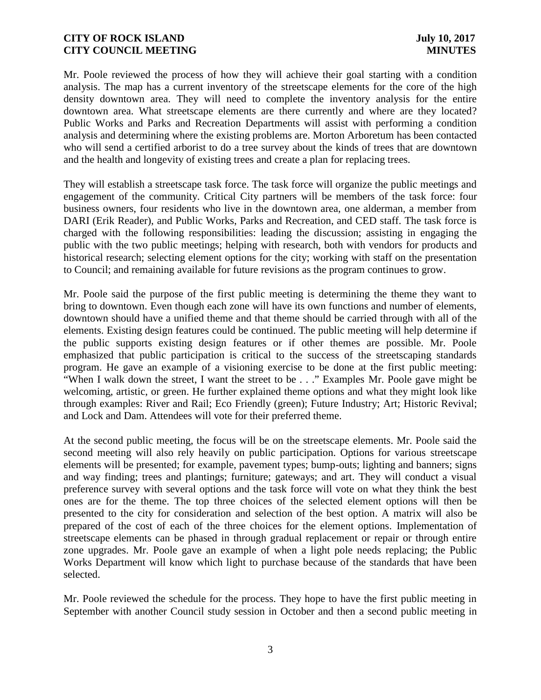Mr. Poole reviewed the process of how they will achieve their goal starting with a condition analysis. The map has a current inventory of the streetscape elements for the core of the high density downtown area. They will need to complete the inventory analysis for the entire downtown area. What streetscape elements are there currently and where are they located? Public Works and Parks and Recreation Departments will assist with performing a condition analysis and determining where the existing problems are. Morton Arboretum has been contacted who will send a certified arborist to do a tree survey about the kinds of trees that are downtown and the health and longevity of existing trees and create a plan for replacing trees.

They will establish a streetscape task force. The task force will organize the public meetings and engagement of the community. Critical City partners will be members of the task force: four business owners, four residents who live in the downtown area, one alderman, a member from DARI (Erik Reader), and Public Works, Parks and Recreation, and CED staff. The task force is charged with the following responsibilities: leading the discussion; assisting in engaging the public with the two public meetings; helping with research, both with vendors for products and historical research; selecting element options for the city; working with staff on the presentation to Council; and remaining available for future revisions as the program continues to grow.

Mr. Poole said the purpose of the first public meeting is determining the theme they want to bring to downtown. Even though each zone will have its own functions and number of elements, downtown should have a unified theme and that theme should be carried through with all of the elements. Existing design features could be continued. The public meeting will help determine if the public supports existing design features or if other themes are possible. Mr. Poole emphasized that public participation is critical to the success of the streetscaping standards program. He gave an example of a visioning exercise to be done at the first public meeting: "When I walk down the street, I want the street to be . . ." Examples Mr. Poole gave might be welcoming, artistic, or green. He further explained theme options and what they might look like through examples: River and Rail; Eco Friendly (green); Future Industry; Art; Historic Revival; and Lock and Dam. Attendees will vote for their preferred theme.

At the second public meeting, the focus will be on the streetscape elements. Mr. Poole said the second meeting will also rely heavily on public participation. Options for various streetscape elements will be presented; for example, pavement types; bump-outs; lighting and banners; signs and way finding; trees and plantings; furniture; gateways; and art. They will conduct a visual preference survey with several options and the task force will vote on what they think the best ones are for the theme. The top three choices of the selected element options will then be presented to the city for consideration and selection of the best option. A matrix will also be prepared of the cost of each of the three choices for the element options. Implementation of streetscape elements can be phased in through gradual replacement or repair or through entire zone upgrades. Mr. Poole gave an example of when a light pole needs replacing; the Public Works Department will know which light to purchase because of the standards that have been selected.

Mr. Poole reviewed the schedule for the process. They hope to have the first public meeting in September with another Council study session in October and then a second public meeting in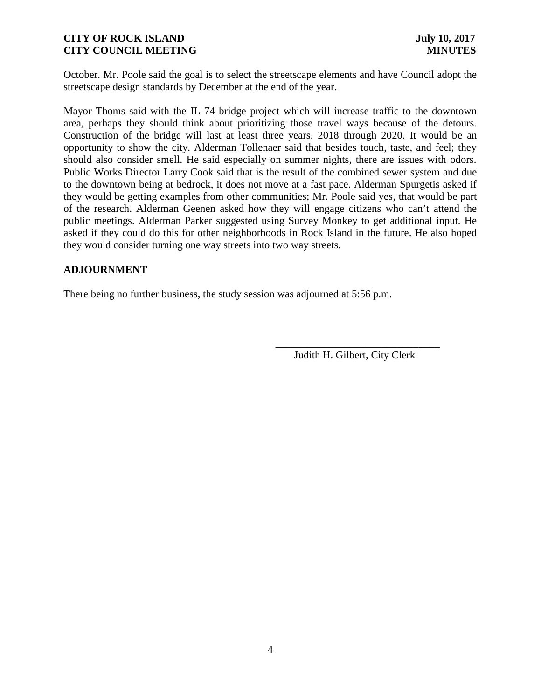October. Mr. Poole said the goal is to select the streetscape elements and have Council adopt the streetscape design standards by December at the end of the year.

Mayor Thoms said with the IL 74 bridge project which will increase traffic to the downtown area, perhaps they should think about prioritizing those travel ways because of the detours. Construction of the bridge will last at least three years, 2018 through 2020. It would be an opportunity to show the city. Alderman Tollenaer said that besides touch, taste, and feel; they should also consider smell. He said especially on summer nights, there are issues with odors. Public Works Director Larry Cook said that is the result of the combined sewer system and due to the downtown being at bedrock, it does not move at a fast pace. Alderman Spurgetis asked if they would be getting examples from other communities; Mr. Poole said yes, that would be part of the research. Alderman Geenen asked how they will engage citizens who can't attend the public meetings. Alderman Parker suggested using Survey Monkey to get additional input. He asked if they could do this for other neighborhoods in Rock Island in the future. He also hoped they would consider turning one way streets into two way streets.

### **ADJOURNMENT**

There being no further business, the study session was adjourned at 5:56 p.m.

Judith H. Gilbert, City Clerk

\_\_\_\_\_\_\_\_\_\_\_\_\_\_\_\_\_\_\_\_\_\_\_\_\_\_\_\_\_\_\_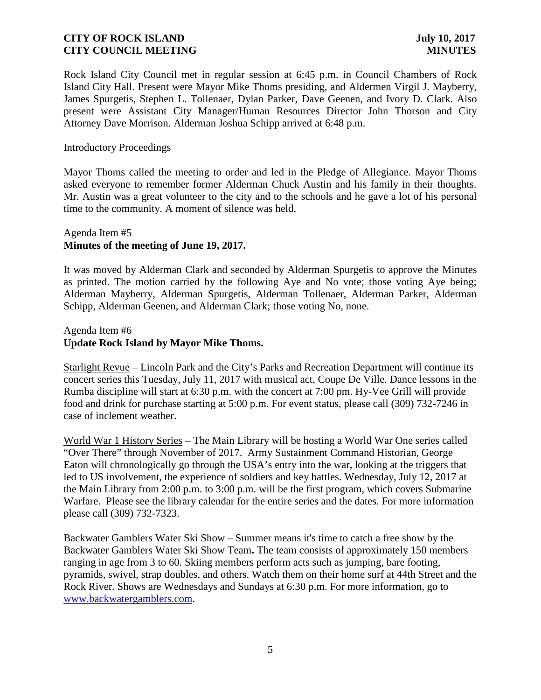Rock Island City Council met in regular session at 6:45 p.m. in Council Chambers of Rock Island City Hall. Present were Mayor Mike Thoms presiding, and Aldermen Virgil J. Mayberry, James Spurgetis, Stephen L. Tollenaer, Dylan Parker, Dave Geenen, and Ivory D. Clark. Also present were Assistant City Manager/Human Resources Director John Thorson and City Attorney Dave Morrison. Alderman Joshua Schipp arrived at 6:48 p.m.

### Introductory Proceedings

Mayor Thoms called the meeting to order and led in the Pledge of Allegiance. Mayor Thoms asked everyone to remember former Alderman Chuck Austin and his family in their thoughts. Mr. Austin was a great volunteer to the city and to the schools and he gave a lot of his personal time to the community. A moment of silence was held.

# Agenda Item #5 **Minutes of the meeting of June 19, 2017.**

It was moved by Alderman Clark and seconded by Alderman Spurgetis to approve the Minutes as printed. The motion carried by the following Aye and No vote; those voting Aye being; Alderman Mayberry, Alderman Spurgetis, Alderman Tollenaer, Alderman Parker, Alderman Schipp, Alderman Geenen, and Alderman Clark; those voting No, none.

# Agenda Item #6 **Update Rock Island by Mayor Mike Thoms.**

Starlight Revue – Lincoln Park and the City's Parks and Recreation Department will continue its concert series this Tuesday, July 11, 2017 with musical act, Coupe De Ville. Dance lessons in the Rumba discipline will start at 6:30 p.m. with the concert at 7:00 pm. Hy-Vee Grill will provide food and drink for purchase starting at 5:00 p.m. For event status, please call (309) 732-7246 in case of inclement weather.

World War 1 History Series – The Main Library will be hosting a World War One series called "Over There" through November of 2017. Army Sustainment Command Historian, George Eaton will chronologically go through the USA's entry into the war, looking at the triggers that led to US involvement, the experience of soldiers and key battles. Wednesday, July 12, 2017 at the Main Library from 2:00 p.m. to 3:00 p.m. will be the first program, which covers Submarine Warfare. Please see the library calendar for the entire series and the dates. For more information please call (309) 732-7323.

Backwater Gamblers Water Ski Show – Summer means it's time to catch a free show by the Backwater Gamblers Water Ski Show Team**.** The team consists of approximately 150 members ranging in age from 3 to 60. Skiing members perform acts such as jumping, bare footing, pyramids, swivel, strap doubles, and others. Watch them on their home surf at 44th Street and the Rock River. Shows are Wednesdays and Sundays at 6:30 p.m. For more information, go to www.backwatergamblers.com.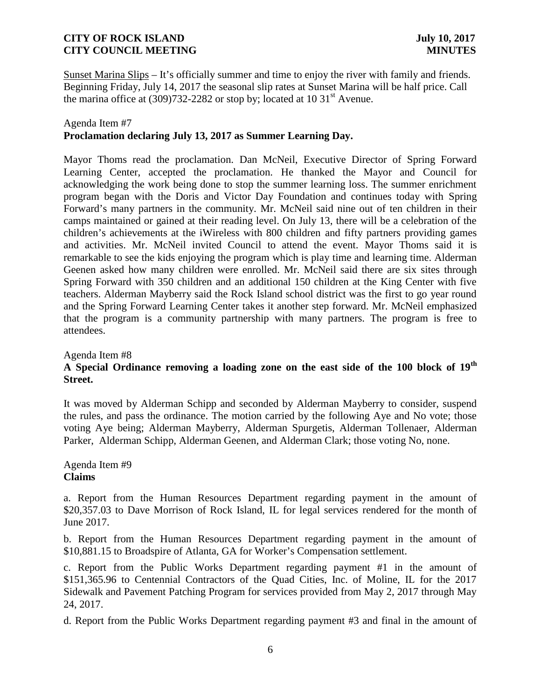Sunset Marina Slips – It's officially summer and time to enjoy the river with family and friends. Beginning Friday, July 14, 2017 the seasonal slip rates at Sunset Marina will be half price. Call the marina office at  $(309)732-2282$  or stop by; located at 10 31<sup>st</sup> Avenue.

### Agenda Item #7

# **Proclamation declaring July 13, 2017 as Summer Learning Day.**

Mayor Thoms read the proclamation. Dan McNeil, Executive Director of Spring Forward Learning Center, accepted the proclamation. He thanked the Mayor and Council for acknowledging the work being done to stop the summer learning loss. The summer enrichment program began with the Doris and Victor Day Foundation and continues today with Spring Forward's many partners in the community. Mr. McNeil said nine out of ten children in their camps maintained or gained at their reading level. On July 13, there will be a celebration of the children's achievements at the iWireless with 800 children and fifty partners providing games and activities. Mr. McNeil invited Council to attend the event. Mayor Thoms said it is remarkable to see the kids enjoying the program which is play time and learning time. Alderman Geenen asked how many children were enrolled. Mr. McNeil said there are six sites through Spring Forward with 350 children and an additional 150 children at the King Center with five teachers. Alderman Mayberry said the Rock Island school district was the first to go year round and the Spring Forward Learning Center takes it another step forward. Mr. McNeil emphasized that the program is a community partnership with many partners. The program is free to attendees.

### Agenda Item #8

# **A Special Ordinance removing a loading zone on the east side of the 100 block of 19th Street.**

It was moved by Alderman Schipp and seconded by Alderman Mayberry to consider, suspend the rules, and pass the ordinance. The motion carried by the following Aye and No vote; those voting Aye being; Alderman Mayberry, Alderman Spurgetis, Alderman Tollenaer, Alderman Parker, Alderman Schipp, Alderman Geenen, and Alderman Clark; those voting No, none.

Agenda Item #9 **Claims**

a. Report from the Human Resources Department regarding payment in the amount of \$20,357.03 to Dave Morrison of Rock Island, IL for legal services rendered for the month of June 2017.

b. Report from the Human Resources Department regarding payment in the amount of \$10,881.15 to Broadspire of Atlanta, GA for Worker's Compensation settlement.

c. Report from the Public Works Department regarding payment #1 in the amount of \$151,365.96 to Centennial Contractors of the Quad Cities, Inc. of Moline, IL for the 2017 Sidewalk and Pavement Patching Program for services provided from May 2, 2017 through May 24, 2017.

d. Report from the Public Works Department regarding payment #3 and final in the amount of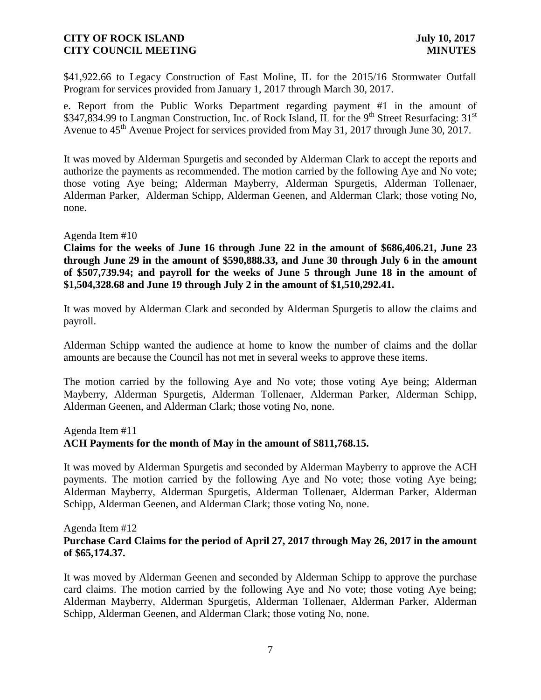\$41,922.66 to Legacy Construction of East Moline, IL for the 2015/16 Stormwater Outfall Program for services provided from January 1, 2017 through March 30, 2017.

e. Report from the Public Works Department regarding payment #1 in the amount of \$347,834.99 to Langman Construction, Inc. of Rock Island, IL for the 9<sup>th</sup> Street Resurfacing: 31<sup>st</sup> Avenue to  $45<sup>th</sup>$  Avenue Project for services provided from May 31, 2017 through June 30, 2017.

It was moved by Alderman Spurgetis and seconded by Alderman Clark to accept the reports and authorize the payments as recommended. The motion carried by the following Aye and No vote; those voting Aye being; Alderman Mayberry, Alderman Spurgetis, Alderman Tollenaer, Alderman Parker, Alderman Schipp, Alderman Geenen, and Alderman Clark; those voting No, none.

### Agenda Item #10

**Claims for the weeks of June 16 through June 22 in the amount of \$686,406.21, June 23 through June 29 in the amount of \$590,888.33, and June 30 through July 6 in the amount of \$507,739.94; and payroll for the weeks of June 5 through June 18 in the amount of \$1,504,328.68 and June 19 through July 2 in the amount of \$1,510,292.41.**

It was moved by Alderman Clark and seconded by Alderman Spurgetis to allow the claims and payroll.

Alderman Schipp wanted the audience at home to know the number of claims and the dollar amounts are because the Council has not met in several weeks to approve these items.

The motion carried by the following Aye and No vote; those voting Aye being; Alderman Mayberry, Alderman Spurgetis, Alderman Tollenaer, Alderman Parker, Alderman Schipp, Alderman Geenen, and Alderman Clark; those voting No, none.

#### Agenda Item #11

### **ACH Payments for the month of May in the amount of \$811,768.15.**

It was moved by Alderman Spurgetis and seconded by Alderman Mayberry to approve the ACH payments. The motion carried by the following Aye and No vote; those voting Aye being; Alderman Mayberry, Alderman Spurgetis, Alderman Tollenaer, Alderman Parker, Alderman Schipp, Alderman Geenen, and Alderman Clark; those voting No, none.

### Agenda Item #12 **Purchase Card Claims for the period of April 27, 2017 through May 26, 2017 in the amount of \$65,174.37.**

It was moved by Alderman Geenen and seconded by Alderman Schipp to approve the purchase card claims. The motion carried by the following Aye and No vote; those voting Aye being; Alderman Mayberry, Alderman Spurgetis, Alderman Tollenaer, Alderman Parker, Alderman Schipp, Alderman Geenen, and Alderman Clark; those voting No, none.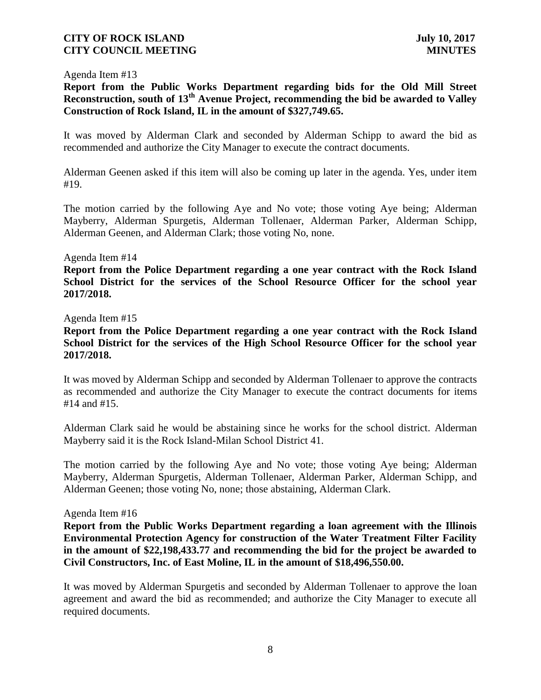### Agenda Item #13

**Report from the Public Works Department regarding bids for the Old Mill Street Reconstruction, south of 13th Avenue Project, recommending the bid be awarded to Valley Construction of Rock Island, IL in the amount of \$327,749.65.**

It was moved by Alderman Clark and seconded by Alderman Schipp to award the bid as recommended and authorize the City Manager to execute the contract documents.

Alderman Geenen asked if this item will also be coming up later in the agenda. Yes, under item #19.

The motion carried by the following Aye and No vote; those voting Aye being; Alderman Mayberry, Alderman Spurgetis, Alderman Tollenaer, Alderman Parker, Alderman Schipp, Alderman Geenen, and Alderman Clark; those voting No, none.

#### Agenda Item #14

**Report from the Police Department regarding a one year contract with the Rock Island School District for the services of the School Resource Officer for the school year 2017/2018.**

### Agenda Item #15

**Report from the Police Department regarding a one year contract with the Rock Island School District for the services of the High School Resource Officer for the school year 2017/2018.**

It was moved by Alderman Schipp and seconded by Alderman Tollenaer to approve the contracts as recommended and authorize the City Manager to execute the contract documents for items #14 and #15.

Alderman Clark said he would be abstaining since he works for the school district. Alderman Mayberry said it is the Rock Island-Milan School District 41.

The motion carried by the following Aye and No vote; those voting Aye being; Alderman Mayberry, Alderman Spurgetis, Alderman Tollenaer, Alderman Parker, Alderman Schipp, and Alderman Geenen; those voting No, none; those abstaining, Alderman Clark.

#### Agenda Item #16

**Report from the Public Works Department regarding a loan agreement with the Illinois Environmental Protection Agency for construction of the Water Treatment Filter Facility in the amount of \$22,198,433.77 and recommending the bid for the project be awarded to Civil Constructors, Inc. of East Moline, IL in the amount of \$18,496,550.00.**

It was moved by Alderman Spurgetis and seconded by Alderman Tollenaer to approve the loan agreement and award the bid as recommended; and authorize the City Manager to execute all required documents.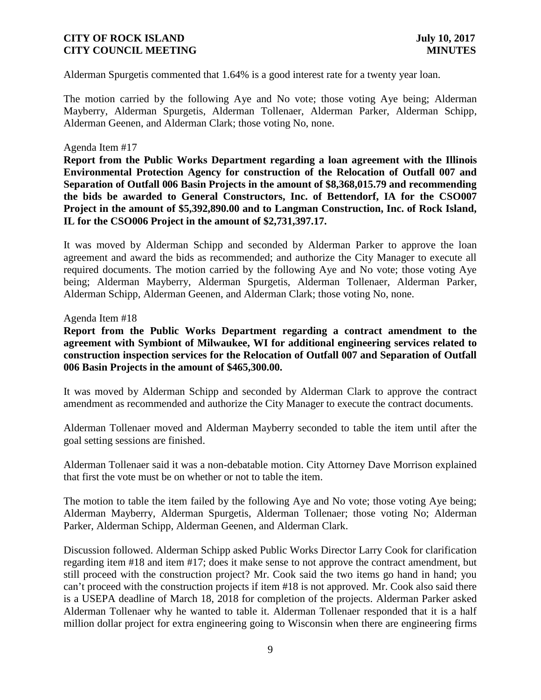Alderman Spurgetis commented that 1.64% is a good interest rate for a twenty year loan.

The motion carried by the following Aye and No vote; those voting Aye being; Alderman Mayberry, Alderman Spurgetis, Alderman Tollenaer, Alderman Parker, Alderman Schipp, Alderman Geenen, and Alderman Clark; those voting No, none.

### Agenda Item #17

**Report from the Public Works Department regarding a loan agreement with the Illinois Environmental Protection Agency for construction of the Relocation of Outfall 007 and Separation of Outfall 006 Basin Projects in the amount of \$8,368,015.79 and recommending the bids be awarded to General Constructors, Inc. of Bettendorf, IA for the CSO007 Project in the amount of \$5,392,890.00 and to Langman Construction, Inc. of Rock Island, IL for the CSO006 Project in the amount of \$2,731,397.17.**

It was moved by Alderman Schipp and seconded by Alderman Parker to approve the loan agreement and award the bids as recommended; and authorize the City Manager to execute all required documents. The motion carried by the following Aye and No vote; those voting Aye being; Alderman Mayberry, Alderman Spurgetis, Alderman Tollenaer, Alderman Parker, Alderman Schipp, Alderman Geenen, and Alderman Clark; those voting No, none.

#### Agenda Item #18

**Report from the Public Works Department regarding a contract amendment to the agreement with Symbiont of Milwaukee, WI for additional engineering services related to construction inspection services for the Relocation of Outfall 007 and Separation of Outfall 006 Basin Projects in the amount of \$465,300.00.**

It was moved by Alderman Schipp and seconded by Alderman Clark to approve the contract amendment as recommended and authorize the City Manager to execute the contract documents.

Alderman Tollenaer moved and Alderman Mayberry seconded to table the item until after the goal setting sessions are finished.

Alderman Tollenaer said it was a non-debatable motion. City Attorney Dave Morrison explained that first the vote must be on whether or not to table the item.

The motion to table the item failed by the following Aye and No vote; those voting Aye being; Alderman Mayberry, Alderman Spurgetis, Alderman Tollenaer; those voting No; Alderman Parker, Alderman Schipp, Alderman Geenen, and Alderman Clark.

Discussion followed. Alderman Schipp asked Public Works Director Larry Cook for clarification regarding item #18 and item #17; does it make sense to not approve the contract amendment, but still proceed with the construction project? Mr. Cook said the two items go hand in hand; you can't proceed with the construction projects if item #18 is not approved. Mr. Cook also said there is a USEPA deadline of March 18, 2018 for completion of the projects. Alderman Parker asked Alderman Tollenaer why he wanted to table it. Alderman Tollenaer responded that it is a half million dollar project for extra engineering going to Wisconsin when there are engineering firms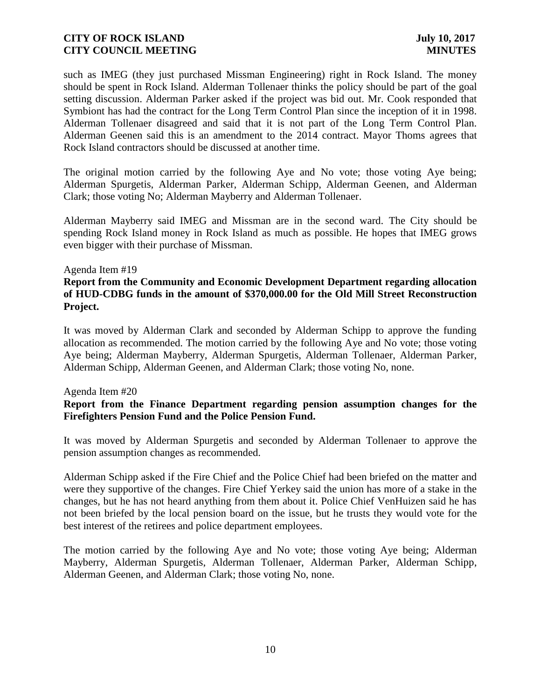such as IMEG (they just purchased Missman Engineering) right in Rock Island. The money should be spent in Rock Island. Alderman Tollenaer thinks the policy should be part of the goal setting discussion. Alderman Parker asked if the project was bid out. Mr. Cook responded that Symbiont has had the contract for the Long Term Control Plan since the inception of it in 1998. Alderman Tollenaer disagreed and said that it is not part of the Long Term Control Plan. Alderman Geenen said this is an amendment to the 2014 contract. Mayor Thoms agrees that Rock Island contractors should be discussed at another time.

The original motion carried by the following Aye and No vote; those voting Aye being; Alderman Spurgetis, Alderman Parker, Alderman Schipp, Alderman Geenen, and Alderman Clark; those voting No; Alderman Mayberry and Alderman Tollenaer.

Alderman Mayberry said IMEG and Missman are in the second ward. The City should be spending Rock Island money in Rock Island as much as possible. He hopes that IMEG grows even bigger with their purchase of Missman.

### Agenda Item #19

# **Report from the Community and Economic Development Department regarding allocation of HUD-CDBG funds in the amount of \$370,000.00 for the Old Mill Street Reconstruction Project.**

It was moved by Alderman Clark and seconded by Alderman Schipp to approve the funding allocation as recommended. The motion carried by the following Aye and No vote; those voting Aye being; Alderman Mayberry, Alderman Spurgetis, Alderman Tollenaer, Alderman Parker, Alderman Schipp, Alderman Geenen, and Alderman Clark; those voting No, none.

#### Agenda Item #20

# **Report from the Finance Department regarding pension assumption changes for the Firefighters Pension Fund and the Police Pension Fund.**

It was moved by Alderman Spurgetis and seconded by Alderman Tollenaer to approve the pension assumption changes as recommended.

Alderman Schipp asked if the Fire Chief and the Police Chief had been briefed on the matter and were they supportive of the changes. Fire Chief Yerkey said the union has more of a stake in the changes, but he has not heard anything from them about it. Police Chief VenHuizen said he has not been briefed by the local pension board on the issue, but he trusts they would vote for the best interest of the retirees and police department employees.

The motion carried by the following Aye and No vote; those voting Aye being; Alderman Mayberry, Alderman Spurgetis, Alderman Tollenaer, Alderman Parker, Alderman Schipp, Alderman Geenen, and Alderman Clark; those voting No, none.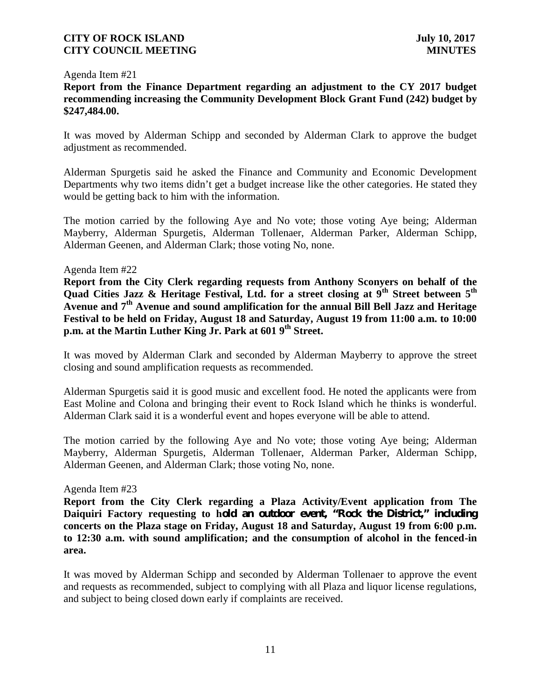### Agenda Item #21

**Report from the Finance Department regarding an adjustment to the CY 2017 budget recommending increasing the Community Development Block Grant Fund (242) budget by \$247,484.00.**

It was moved by Alderman Schipp and seconded by Alderman Clark to approve the budget adjustment as recommended.

Alderman Spurgetis said he asked the Finance and Community and Economic Development Departments why two items didn't get a budget increase like the other categories. He stated they would be getting back to him with the information.

The motion carried by the following Aye and No vote; those voting Aye being; Alderman Mayberry, Alderman Spurgetis, Alderman Tollenaer, Alderman Parker, Alderman Schipp, Alderman Geenen, and Alderman Clark; those voting No, none.

### Agenda Item #22

**Report from the City Clerk regarding requests from Anthony Sconyers on behalf of the Quad Cities Jazz & Heritage Festival, Ltd. for a street closing at 9th Street between 5th Avenue and 7th Avenue and sound amplification for the annual Bill Bell Jazz and Heritage Festival to be held on Friday, August 18 and Saturday, August 19 from 11:00 a.m. to 10:00 p.m. at the Martin Luther King Jr. Park at 601 9th Street.**

It was moved by Alderman Clark and seconded by Alderman Mayberry to approve the street closing and sound amplification requests as recommended.

Alderman Spurgetis said it is good music and excellent food. He noted the applicants were from East Moline and Colona and bringing their event to Rock Island which he thinks is wonderful. Alderman Clark said it is a wonderful event and hopes everyone will be able to attend.

The motion carried by the following Aye and No vote; those voting Aye being; Alderman Mayberry, Alderman Spurgetis, Alderman Tollenaer, Alderman Parker, Alderman Schipp, Alderman Geenen, and Alderman Clark; those voting No, none.

#### Agenda Item #23

**Report from the City Clerk regarding a Plaza Activity/Event application from The Daiquiri Factory requesting to hold an outdoor event, "Rock the District," including concerts on the Plaza stage on Friday, August 18 and Saturday, August 19 from 6:00 p.m. to 12:30 a.m. with sound amplification; and the consumption of alcohol in the fenced-in area.**

It was moved by Alderman Schipp and seconded by Alderman Tollenaer to approve the event and requests as recommended, subject to complying with all Plaza and liquor license regulations, and subject to being closed down early if complaints are received.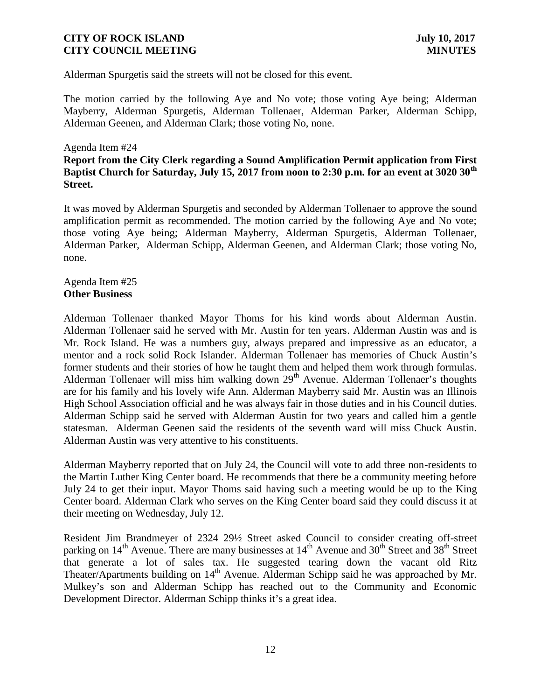Alderman Spurgetis said the streets will not be closed for this event.

The motion carried by the following Aye and No vote; those voting Aye being; Alderman Mayberry, Alderman Spurgetis, Alderman Tollenaer, Alderman Parker, Alderman Schipp, Alderman Geenen, and Alderman Clark; those voting No, none.

### Agenda Item #24

# **Report from the City Clerk regarding a Sound Amplification Permit application from First Baptist Church for Saturday, July 15, 2017 from noon to 2:30 p.m. for an event at 3020 30th Street.**

It was moved by Alderman Spurgetis and seconded by Alderman Tollenaer to approve the sound amplification permit as recommended. The motion carried by the following Aye and No vote; those voting Aye being; Alderman Mayberry, Alderman Spurgetis, Alderman Tollenaer, Alderman Parker, Alderman Schipp, Alderman Geenen, and Alderman Clark; those voting No, none.

### Agenda Item #25 **Other Business**

Alderman Tollenaer thanked Mayor Thoms for his kind words about Alderman Austin. Alderman Tollenaer said he served with Mr. Austin for ten years. Alderman Austin was and is Mr. Rock Island. He was a numbers guy, always prepared and impressive as an educator, a mentor and a rock solid Rock Islander. Alderman Tollenaer has memories of Chuck Austin's former students and their stories of how he taught them and helped them work through formulas. Alderman Tollenaer will miss him walking down  $29<sup>th</sup>$  Avenue. Alderman Tollenaer's thoughts are for his family and his lovely wife Ann. Alderman Mayberry said Mr. Austin was an Illinois High School Association official and he was always fair in those duties and in his Council duties. Alderman Schipp said he served with Alderman Austin for two years and called him a gentle statesman. Alderman Geenen said the residents of the seventh ward will miss Chuck Austin. Alderman Austin was very attentive to his constituents.

Alderman Mayberry reported that on July 24, the Council will vote to add three non-residents to the Martin Luther King Center board. He recommends that there be a community meeting before July 24 to get their input. Mayor Thoms said having such a meeting would be up to the King Center board. Alderman Clark who serves on the King Center board said they could discuss it at their meeting on Wednesday, July 12.

Resident Jim Brandmeyer of 2324 29½ Street asked Council to consider creating off-street parking on 14<sup>th</sup> Avenue. There are many businesses at 14<sup>th</sup> Avenue and 30<sup>th</sup> Street and 38<sup>th</sup> Street that generate a lot of sales tax. He suggested tearing down the vacant old Ritz Theater/Apartments building on 14<sup>th</sup> Avenue. Alderman Schipp said he was approached by Mr. Mulkey's son and Alderman Schipp has reached out to the Community and Economic Development Director. Alderman Schipp thinks it's a great idea.